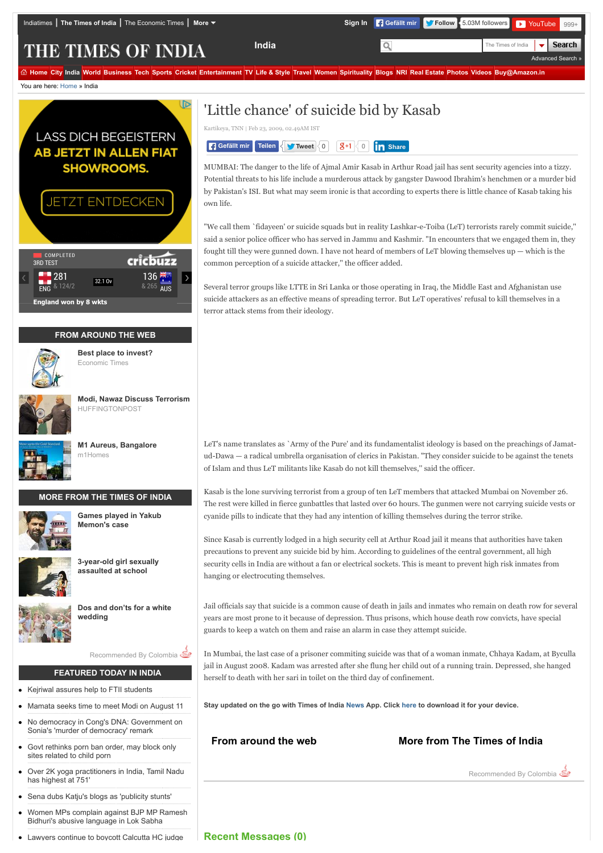[Advanced Search »](http://timesofindia.indiatimes.com/advancesearch.cms)

**Search** 

THE TIMES OF INDIA

@ [Home](http://timesofindia.indiatimes.com/) [City](http://timesofindia.indiatimes.com/city/cityarticlelist/-2128932452.cms) [India](http://timesofindia.indiatimes.com/india/indiaarticlelist/-2128936835.cms) [World](http://timesofindia.indiatimes.com/world/worldarticlelist/296589292.cms) [Business](http://timesofindia.indiatimes.com/business/bizarticlelist/1898055.cms) [Tech](http://timesofindia.indiatimes.com/tech/techhome/5880659.cms) [Sports](http://timesofindia.indiatimes.com/sports) [Cricket](http://www.gocricket.com/) [Entertainment](http://timesofindia.indiatimes.com/entertainment/articlelistls/1081479906.cms) [TV](http://timesofindia.indiatimes.com/tv/hindi/tvhome/17781976.cms) [Life & Style](http://timesofindia.indiatimes.com/life-style/articlelistls/2886704.cms) [Travel](http://www.happytrips.com/) [Women](http://idiva.com/indextoi.html) [Spirituality](http://timesofindia.speakingtree.in/) [Blogs](http://blogs.timesofindia.indiatimes.com/?utm_source=NavL1&utm_medium=Old&utm_campaign=TOIHP) [NRI](http://timesofindia.indiatimes.com/nrihome.cms) [Real Estate](http://content.magicbricks.com/?fromSite=toi&utm_source=toi&utm_medium=referral&utm_campaign=toi-mb-navbar) [Photos](http://photogallery.indiatimes.com/) [Videos](http://timesofindia.indiatimes.com/videos) [Buy@Amazon.in](http://www.amazon.in/?tag=times1-21)

You are here: [Home](http://timesofindia.indiatimes.com/) » India



Bidhuri's abusive language in Lok Sabha [Lawyers continue to boycott Calcutta HC judge](http://timesofindia.indiatimes.com/india/Lawyers-continue-to-boycott-Calcutta-HC-judge/articleshow/48346051.cms)

# 'Little chance' of suicide bid by Kasab

Kartikeya, TNN | Feb 23, 2009, 02.49AM IST



MUMBAI: The danger to the life of Ajmal Amir Kasab in Arthur Road jail has sent security agencies into a tizzy. Potential threats to his life include a murderous attack by gangster Dawood Ibrahim's henchmen or a murder bid by Pakistan's ISI. But what may seem ironic is that according to experts there is little chance of Kasab taking his own life.

"We call them `fidayeen' or suicide squads but in reality Lashkar-e-Toiba (LeT) terrorists rarely commit suicide,'' said a senior police officer who has served in Jammu and Kashmir. "In encounters that we engaged them in, they fought till they were gunned down. I have not heard of members of LeT blowing themselves up — which is the common perception of a suicide attacker,'' the officer added.

Several terror groups like LTTE in Sri Lanka or those operating in Iraq, the Middle East and Afghanistan use suicide attackers as an effective means of spreading terror. But LeT operatives' refusal to kill themselves in a terror attack stems from their ideology.

LeT's name translates as `Army of the Pure' and its fundamentalist ideology is based on the preachings of Jamatud-Dawa — a radical umbrella organisation of clerics in Pakistan. "They consider suicide to be against the tenets of Islam and thus LeT militants like Kasab do not kill themselves,'' said the officer.

Kasab is the lone surviving terrorist from a group of ten LeT members that attacked Mumbai on November 26. The rest were killed in fierce gunbattles that lasted over 60 hours. The gunmen were not carrying suicide vests or cyanide pills to indicate that they had any intention of killing themselves during the terror strike.

Since Kasab is currently lodged in a high security cell at Arthur Road jail it means that authorities have taken precautions to prevent any suicide bid by him. According to guidelines of the central government, all high security cells in India are without a fan or electrical sockets. This is meant to prevent high risk inmates from hanging or electrocuting themselves.

Jail officials say that suicide is a common cause of death in jails and inmates who remain on death row for several years are most prone to it because of depression. Thus prisons, which house death row convicts, have special guards to keep a watch on them and raise an alarm in case they attempt suicide.

In Mumbai, the last case of a prisoner commiting suicide was that of a woman inmate, Chhaya Kadam, at Byculla jail in August 2008. Kadam was arrested after she flung her child out of a running train. Depressed, she hanged herself to death with her sari in toilet on the third day of confinement.

**Stay updated on the go with Times of India [News](https://play.google.com/store/apps/details?id=com.toi.reader.activities) App. Click [here](http://timesofindia.indiatimes.com/mobileapplist/7404562.cms?utm_source=articleshow_bottom&utm_medium=showpage&utm_campaign=articleshow) to download it for your device.**

## **From around the web More from The Times of India**

Recommended By Colombia

**Recent Messages (0)**